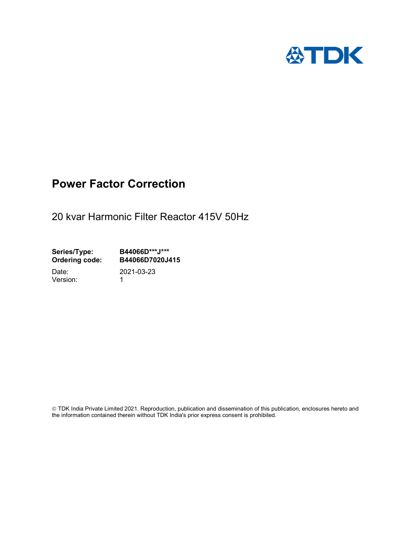

## Power Factor Correction

20 kvar Harmonic Filter Reactor 415V 50Hz

Series/Type: B44066D\*\*\*J\*\*\* Ordering code: B44066D7020J415 Date: 2021-03-23

Version: 1

 TDK India Private Limited 2021. Reproduction, publication and dissemination of this publication, enclosures hereto and the information contained therein without TDK India's prior express consent is prohibited.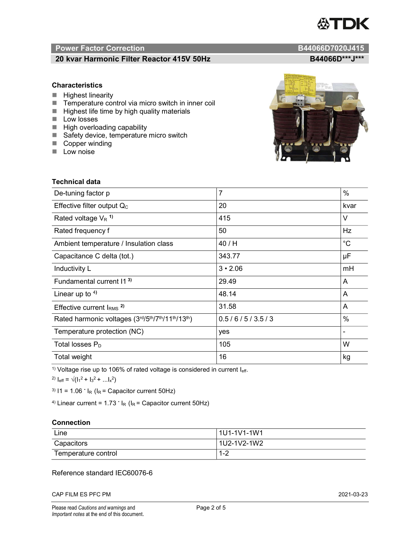# TDK

### Power Factor Correction and Content of the Content of the B44066D7020J415

#### 20 kvar Harmonic Filter Reactor 415V 50Hz B44066D\*\*\*J\*\*\*

#### **Characteristics**

- $\blacksquare$  Highest linearity
- Temperature control via micro switch in inner coil
- $\blacksquare$  Highest life time by high quality materials
- **Low losses**
- $\blacksquare$  High overloading capability
- Safety device, temperature micro switch
- Copper winding
- **Low noise**

| Technical data                                  |                |             |  |  |
|-------------------------------------------------|----------------|-------------|--|--|
| De-tuning factor p                              | $\overline{7}$ | $\%$        |  |  |
| Effective filter output $Q_C$                   | 20             | kvar        |  |  |
| Rated voltage $V_R$ <sup>1)</sup>               | 415            | V           |  |  |
| Rated frequency f                               | 50             | Hz          |  |  |
| Ambient temperature / Insulation class          | 40 / H         | $^{\circ}C$ |  |  |
| Capacitance C delta (tot.)                      | 343.77         | μF          |  |  |
| Inductivity L                                   | $3 \cdot 2.06$ | mH          |  |  |
| Fundamental current 11 <sup>3)</sup>            | 29.49          | A           |  |  |
| Linear up to $4$ )                              | 48.14          | A           |  |  |
| Effective current $l_{RMS}$ <sup>2)</sup>       | 31.58          | A           |  |  |
| Rated harmonic voltages (3rd/5th/7th/11th/13th) | 0.5/6/5/3.5/3  | $\%$        |  |  |
| Temperature protection (NC)                     | yes            |             |  |  |
| Total losses $P_D$                              | 105            | W           |  |  |
| Total weight                                    | 16             | kg          |  |  |

<sup>1)</sup> Voltage rise up to 106% of rated voltage is considered in current  $I_{\text{eff}}$ .

<sup>2)</sup>  $I_{eff} = \sqrt{(I_1^2 + I_3^2 + ... I_x^2)}$ 

<sup>3)</sup>  $11 = 1.06$   $\cdot$   $I_R$  ( $I_R$  = Capacitor current 50Hz)

<sup>4)</sup> Linear current =  $1.73$   $\cdot$  I<sub>R</sub> (I<sub>R</sub> = Capacitor current 50Hz)

#### **Connection**

| Line                | l 1U1-1V1-1W1                        |
|---------------------|--------------------------------------|
| Capacitors          | l 1U2-1V2-1W2                        |
| Temperature control | ⌒<br>$\overline{\phantom{a}}$<br>1-4 |

#### Reference standard IEC60076-6

CAP FILM ES PFC PM 2021-03-23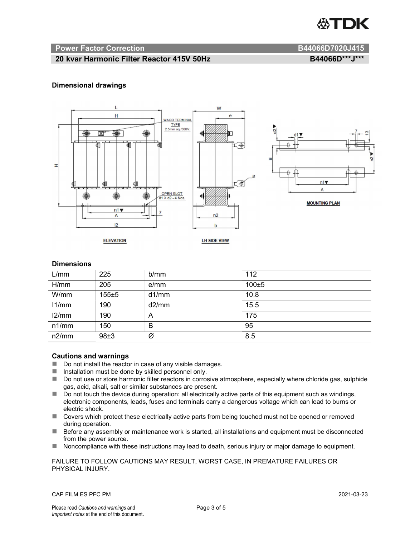

#### Power Factor Correction and B44066D7020J415

#### 20 kvar Harmonic Filter Reactor 415V 50Hz B44066D\*\*\*J\*\*\*

#### Dimensional drawings



#### **Dimensions**

| L/mm  | 225       | b/mm  | 112   |
|-------|-----------|-------|-------|
| H/mm  | 205       | e/mm  | 100±5 |
| W/mm  | $155 + 5$ | d1/mm | 10.8  |
| 11/mm | 190       | d2/mm | 15.5  |
| 12/mm | 190       | A     | 175   |
| n1/mm | 150       | B     | 95    |
| n2/mm | 98±3      | Ø     | 8.5   |

#### Cautions and warnings

- Do not install the reactor in case of any visible damages.
- $\blacksquare$  Installation must be done by skilled personnel only.
- Do not use or store harmonic filter reactors in corrosive atmosphere, especially where chloride gas, sulphide gas, acid, alkali, salt or similar substances are present.
- Do not touch the device during operation: all electrically active parts of this equipment such as windings, electronic components, leads, fuses and terminals carry a dangerous voltage which can lead to burns or electric shock.
- Covers which protect these electrically active parts from being touched must not be opened or removed during operation.
- Before any assembly or maintenance work is started, all installations and equipment must be disconnected from the power source.
- Noncompliance with these instructions may lead to death, serious injury or major damage to equipment.

FAILURE TO FOLLOW CAUTIONS MAY RESULT, WORST CASE, IN PREMATURE FAILURES OR PHYSICAL INJURY.

CAP FILM ES PFC PM 2021-03-23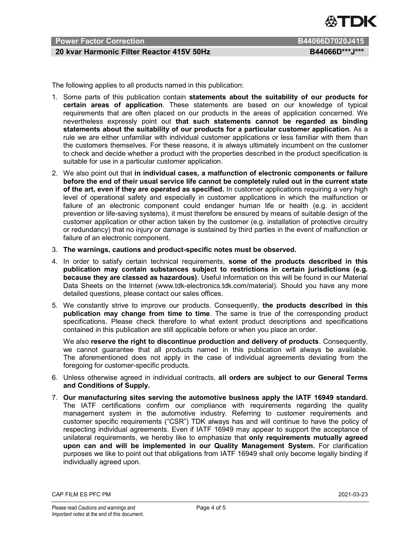

#### Power Factor Correction **B44066D7020J415**

#### 20 kvar Harmonic Filter Reactor 415V 50Hz B44066D\*\*\*J\*\*\*

The following applies to all products named in this publication:

- 1. Some parts of this publication contain statements about the suitability of our products for certain areas of application. These statements are based on our knowledge of typical requirements that are often placed on our products in the areas of application concerned. We nevertheless expressly point out that such statements cannot be regarded as binding statements about the suitability of our products for a particular customer application. As a rule we are either unfamiliar with individual customer applications or less familiar with them than the customers themselves. For these reasons, it is always ultimately incumbent on the customer to check and decide whether a product with the properties described in the product specification is suitable for use in a particular customer application.
- 2. We also point out that in individual cases, a malfunction of electronic components or failure before the end of their usual service life cannot be completely ruled out in the current state of the art, even if they are operated as specified. In customer applications requiring a very high level of operational safety and especially in customer applications in which the malfunction or failure of an electronic component could endanger human life or health (e.g. in accident prevention or life-saving systems), it must therefore be ensured by means of suitable design of the customer application or other action taken by the customer (e.g. installation of protective circuitry or redundancy) that no injury or damage is sustained by third parties in the event of malfunction or failure of an electronic component.
- 3. The warnings, cautions and product-specific notes must be observed.
- 4. In order to satisfy certain technical requirements, some of the products described in this publication may contain substances subject to restrictions in certain jurisdictions (e.g. because they are classed as hazardous). Useful information on this will be found in our Material Data Sheets on the Internet (www.tdk-electronics.tdk.com/material). Should you have any more detailed questions, please contact our sales offices.
- 5. We constantly strive to improve our products. Consequently, the products described in this publication may change from time to time. The same is true of the corresponding product specifications. Please check therefore to what extent product descriptions and specifications contained in this publication are still applicable before or when you place an order.

We also reserve the right to discontinue production and delivery of products. Consequently, we cannot guarantee that all products named in this publication will always be available. The aforementioned does not apply in the case of individual agreements deviating from the foregoing for customer-specific products.

- 6. Unless otherwise agreed in individual contracts, all orders are subject to our General Terms and Conditions of Supply.
- 7. Our manufacturing sites serving the automotive business apply the IATF 16949 standard. The IATF certifications confirm our compliance with requirements regarding the quality management system in the automotive industry. Referring to customer requirements and customer specific requirements ("CSR") TDK always has and will continue to have the policy of respecting individual agreements. Even if IATF 16949 may appear to support the acceptance of unilateral requirements, we hereby like to emphasize that only requirements mutually agreed upon can and will be implemented in our Quality Management System. For clarification purposes we like to point out that obligations from IATF 16949 shall only become legally binding if individually agreed upon.